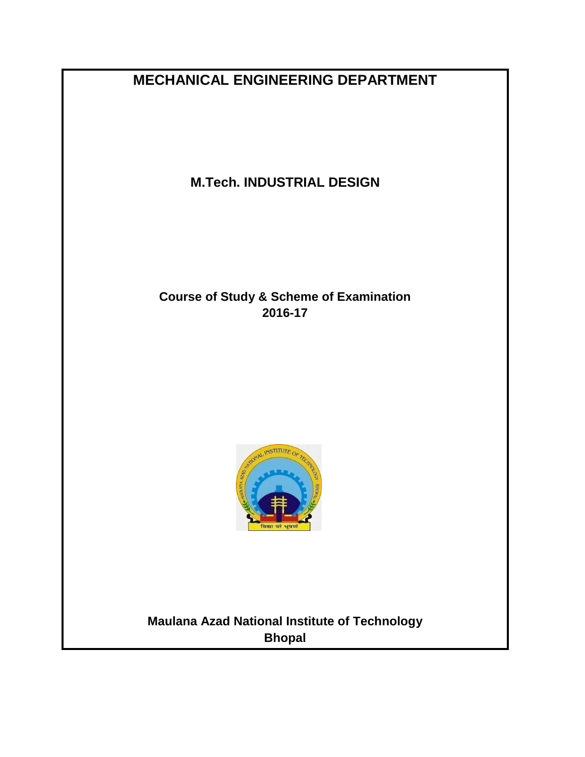**MECHANICAL ENGINEERING DEPARTMENT**

**M.Tech. INDUSTRIAL DESIGN**

**Course of Study & Scheme of Examination 2016-17**



**Maulana Azad National Institute of Technology Bhopal**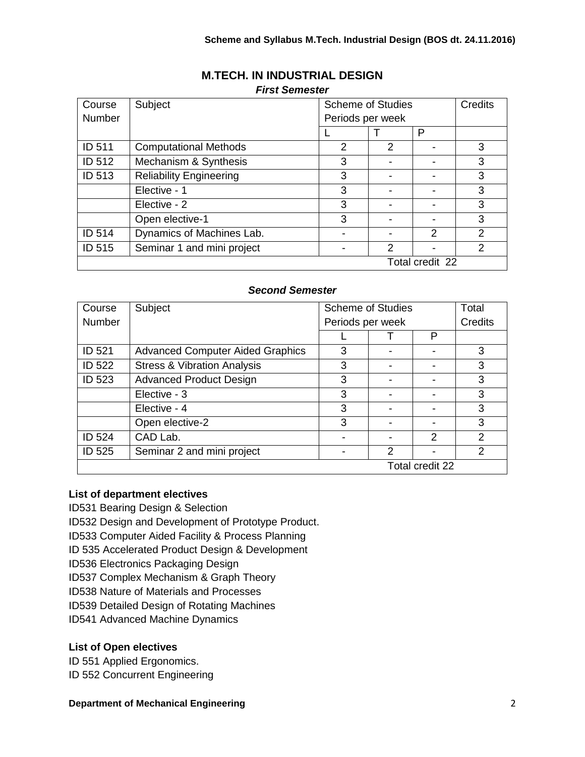| Course          | Subject                        | <b>Scheme of Studies</b> |   |               | Credits        |
|-----------------|--------------------------------|--------------------------|---|---------------|----------------|
| Number          |                                | Periods per week         |   |               |                |
|                 |                                |                          |   | P             |                |
| ID 511          | <b>Computational Methods</b>   | 2                        | 2 |               | 3              |
| ID 512          | Mechanism & Synthesis          | 3                        | ۰ |               | 3              |
| ID 513          | <b>Reliability Engineering</b> | 3                        | ٠ |               | 3              |
|                 | Elective - 1                   | 3                        |   |               | 3              |
|                 | Elective - 2                   | 3                        |   |               | 3              |
|                 | Open elective-1                | 3                        |   |               | 3              |
| ID 514          | Dynamics of Machines Lab.      | -                        |   | $\mathcal{P}$ | $\overline{2}$ |
| <b>ID 515</b>   | Seminar 1 and mini project     | $\overline{\phantom{a}}$ | 2 |               | $\mathcal{P}$  |
| Total credit 22 |                                |                          |   |               |                |

# **M.TECH. IN INDUSTRIAL DESIGN**

#### *First Semester*

# *Second Semester*

| Course          | Subject                                 | <b>Scheme of Studies</b> |   |   | Total   |
|-----------------|-----------------------------------------|--------------------------|---|---|---------|
| <b>Number</b>   |                                         | Periods per week         |   |   | Credits |
|                 |                                         |                          |   | P |         |
| ID 521          | <b>Advanced Computer Aided Graphics</b> | 3                        |   |   | 3       |
| <b>ID 522</b>   | <b>Stress &amp; Vibration Analysis</b>  | 3                        |   |   | 3       |
| ID 523          | <b>Advanced Product Design</b>          | 3                        |   |   | 3       |
|                 | Elective - 3                            | 3                        |   |   | 3       |
|                 | Elective - 4                            | 3                        |   |   | 3       |
|                 | Open elective-2                         | 3                        |   |   | 3       |
| ID 524          | CAD Lab.                                |                          |   | 2 | 2       |
| ID 525          | Seminar 2 and mini project              |                          | 2 |   | 2       |
| Total credit 22 |                                         |                          |   |   |         |

## **List of department electives**

- ID531 Bearing Design & Selection
- ID532 Design and Development of Prototype Product.

ID533 Computer Aided Facility & Process Planning

ID 535 Accelerated Product Design & Development

ID536 Electronics Packaging Design

ID537 Complex Mechanism & Graph Theory

ID538 Nature of Materials and Processes

ID539 Detailed Design of Rotating Machines

ID541 Advanced Machine Dynamics

## **List of Open electives**

ID 551 Applied Ergonomics.

ID 552 Concurrent Engineering

#### **Department of Mechanical Engineering** 2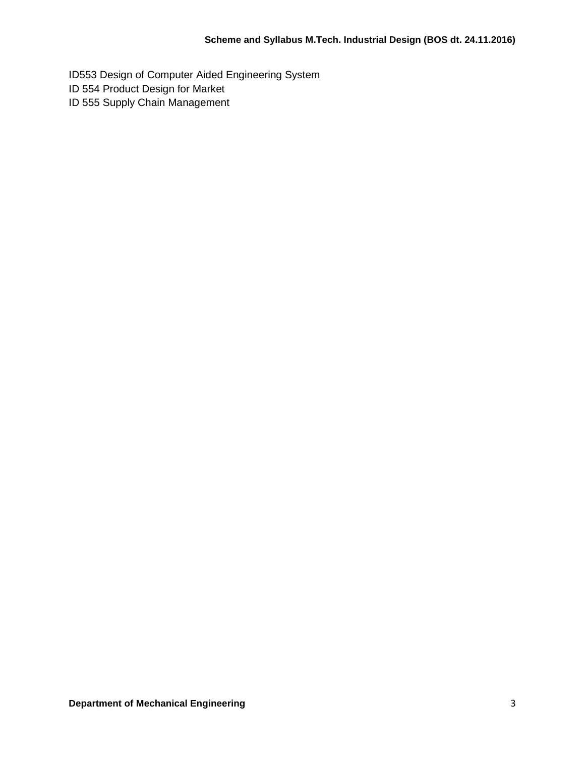ID553 Design of Computer Aided Engineering System ID 554 Product Design for Market ID 555 Supply Chain Management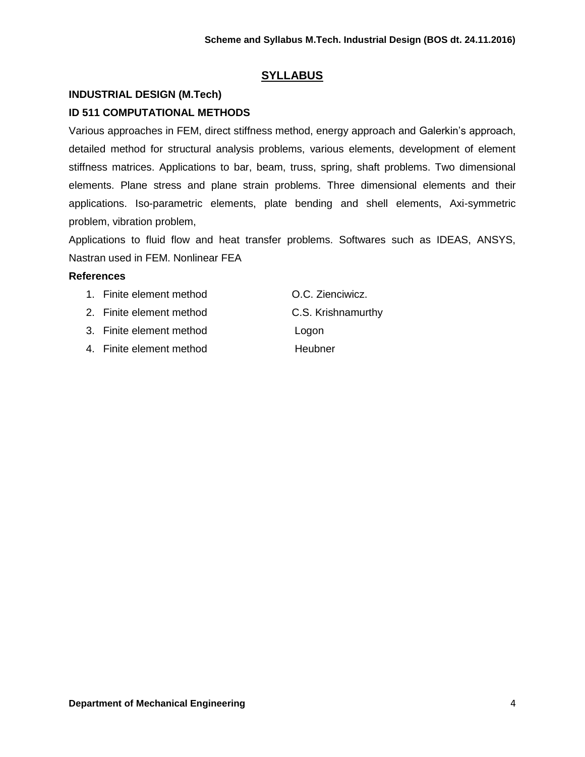# **SYLLABUS**

# **INDUSTRIAL DESIGN (M.Tech) ID 511 COMPUTATIONAL METHODS**

Various approaches in FEM, direct stiffness method, energy approach and Galerkin's approach, detailed method for structural analysis problems, various elements, development of element stiffness matrices. Applications to bar, beam, truss, spring, shaft problems. Two dimensional elements. Plane stress and plane strain problems. Three dimensional elements and their applications. Iso-parametric elements, plate bending and shell elements, Axi-symmetric problem, vibration problem,

Applications to fluid flow and heat transfer problems. Softwares such as IDEAS, ANSYS, Nastran used in FEM. Nonlinear FEA

## **References**

- 1. Finite element method O.C. Zienciwicz.
- 2. Finite element method C.S. Krishnamurthy
- 3. Finite element method Logon
- 4. Finite element method **Heubner**
-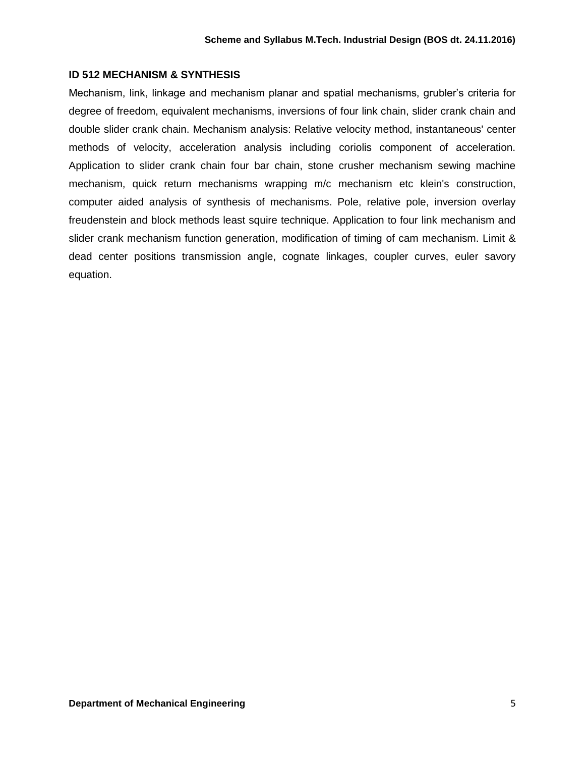### **ID 512 MECHANISM & SYNTHESIS**

Mechanism, link, linkage and mechanism planar and spatial mechanisms, grubler's criteria for degree of freedom, equivalent mechanisms, inversions of four link chain, slider crank chain and double slider crank chain. Mechanism analysis: Relative velocity method, instantaneous' center methods of velocity, acceleration analysis including coriolis component of acceleration. Application to slider crank chain four bar chain, stone crusher mechanism sewing machine mechanism, quick return mechanisms wrapping m/c mechanism etc klein's construction, computer aided analysis of synthesis of mechanisms. Pole, relative pole, inversion overlay freudenstein and block methods least squire technique. Application to four link mechanism and slider crank mechanism function generation, modification of timing of cam mechanism. Limit & dead center positions transmission angle, cognate linkages, coupler curves, euler savory equation.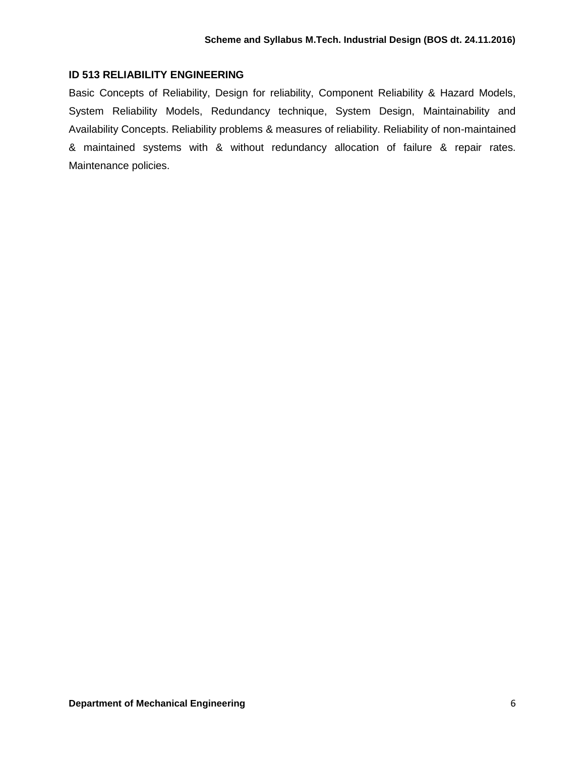## **ID 513 RELIABILITY ENGINEERING**

Basic Concepts of Reliability, Design for reliability, Component Reliability & Hazard Models, System Reliability Models, Redundancy technique, System Design, Maintainability and Availability Concepts. Reliability problems & measures of reliability. Reliability of non-maintained & maintained systems with & without redundancy allocation of failure & repair rates. Maintenance policies.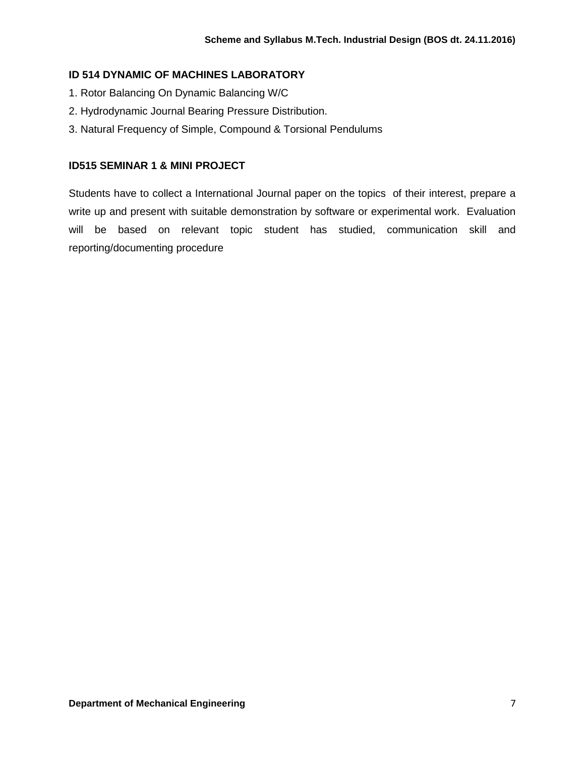# **ID 514 DYNAMIC OF MACHINES LABORATORY**

- 1. Rotor Balancing On Dynamic Balancing W/C
- 2. Hydrodynamic Journal Bearing Pressure Distribution.
- 3. Natural Frequency of Simple, Compound & Torsional Pendulums

## **ID515 SEMINAR 1 & MINI PROJECT**

Students have to collect a International Journal paper on the topics of their interest, prepare a write up and present with suitable demonstration by software or experimental work. Evaluation will be based on relevant topic student has studied, communication skill and reporting/documenting procedure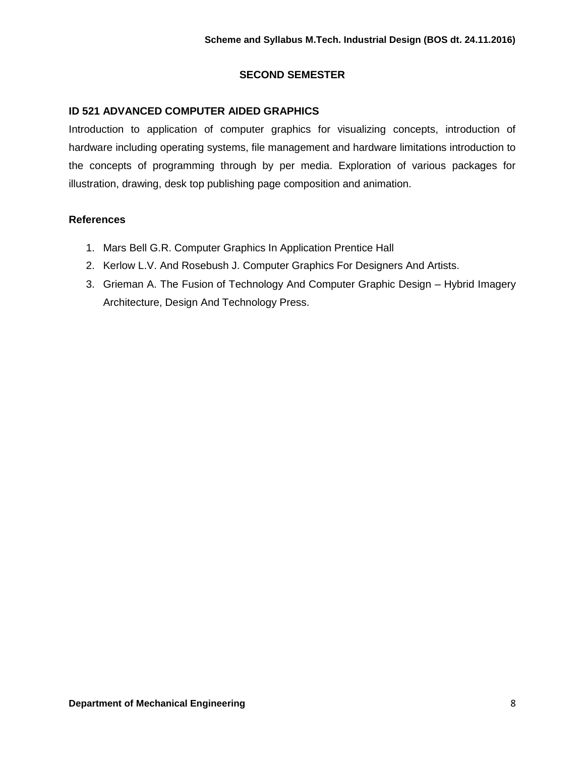# **SECOND SEMESTER**

# **ID 521 ADVANCED COMPUTER AIDED GRAPHICS**

Introduction to application of computer graphics for visualizing concepts, introduction of hardware including operating systems, file management and hardware limitations introduction to the concepts of programming through by per media. Exploration of various packages for illustration, drawing, desk top publishing page composition and animation.

## **References**

- 1. Mars Bell G.R. Computer Graphics In Application Prentice Hall
- 2. Kerlow L.V. And Rosebush J. Computer Graphics For Designers And Artists.
- 3. Grieman A. The Fusion of Technology And Computer Graphic Design Hybrid Imagery Architecture, Design And Technology Press.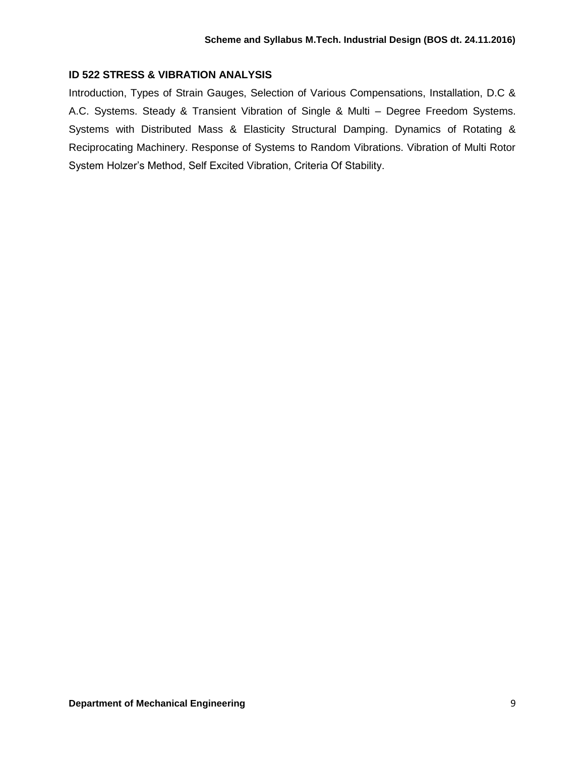# **ID 522 STRESS & VIBRATION ANALYSIS**

Introduction, Types of Strain Gauges, Selection of Various Compensations, Installation, D.C & A.C. Systems. Steady & Transient Vibration of Single & Multi – Degree Freedom Systems. Systems with Distributed Mass & Elasticity Structural Damping. Dynamics of Rotating & Reciprocating Machinery. Response of Systems to Random Vibrations. Vibration of Multi Rotor System Holzer's Method, Self Excited Vibration, Criteria Of Stability.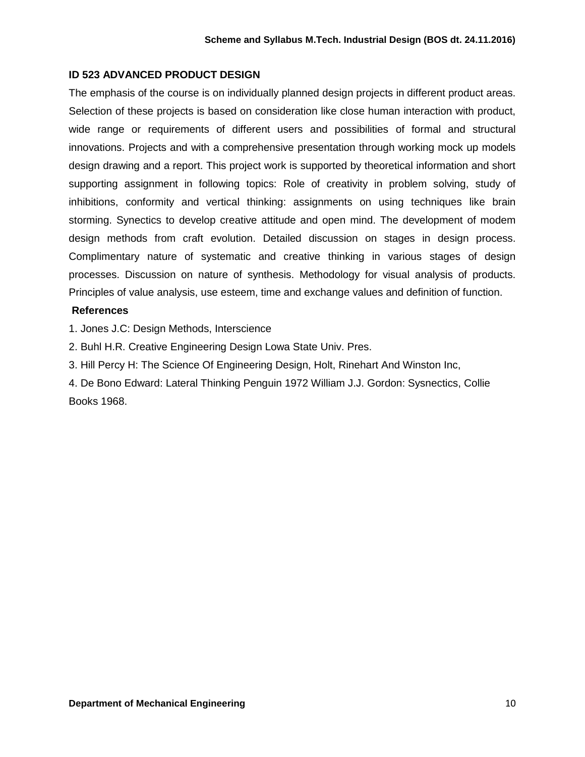# **ID 523 ADVANCED PRODUCT DESIGN**

The emphasis of the course is on individually planned design projects in different product areas. Selection of these projects is based on consideration like close human interaction with product, wide range or requirements of different users and possibilities of formal and structural innovations. Projects and with a comprehensive presentation through working mock up models design drawing and a report. This project work is supported by theoretical information and short supporting assignment in following topics: Role of creativity in problem solving, study of inhibitions, conformity and vertical thinking: assignments on using techniques like brain storming. Synectics to develop creative attitude and open mind. The development of modem design methods from craft evolution. Detailed discussion on stages in design process. Complimentary nature of systematic and creative thinking in various stages of design processes. Discussion on nature of synthesis. Methodology for visual analysis of products. Principles of value analysis, use esteem, time and exchange values and definition of function.

## **References**

1. Jones J.C: Design Methods, Interscience

2. Buhl H.R. Creative Engineering Design Lowa State Univ. Pres.

3. Hill Percy H: The Science Of Engineering Design, Holt, Rinehart And Winston Inc,

4. De Bono Edward: Lateral Thinking Penguin 1972 William J.J. Gordon: Sysnectics, Collie Books 1968.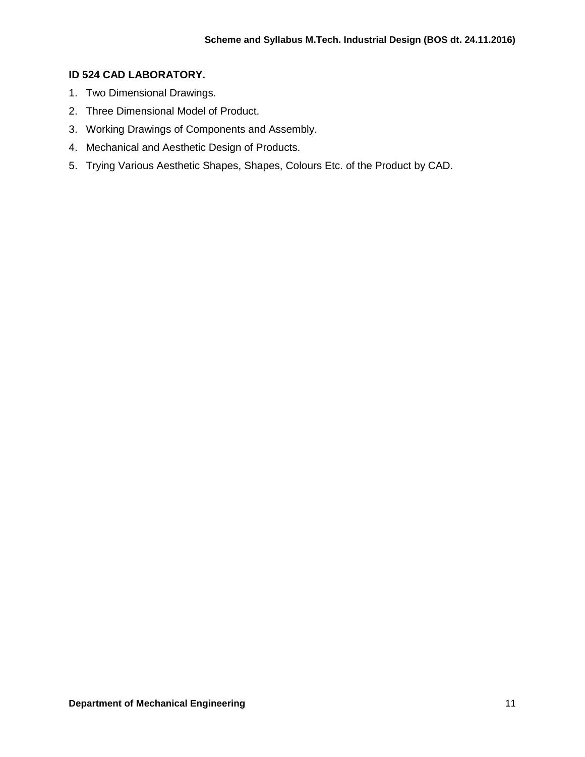# **ID 524 CAD LABORATORY.**

- 1. Two Dimensional Drawings.
- 2. Three Dimensional Model of Product.
- 3. Working Drawings of Components and Assembly.
- 4. Mechanical and Aesthetic Design of Products.
- 5. Trying Various Aesthetic Shapes, Shapes, Colours Etc. of the Product by CAD.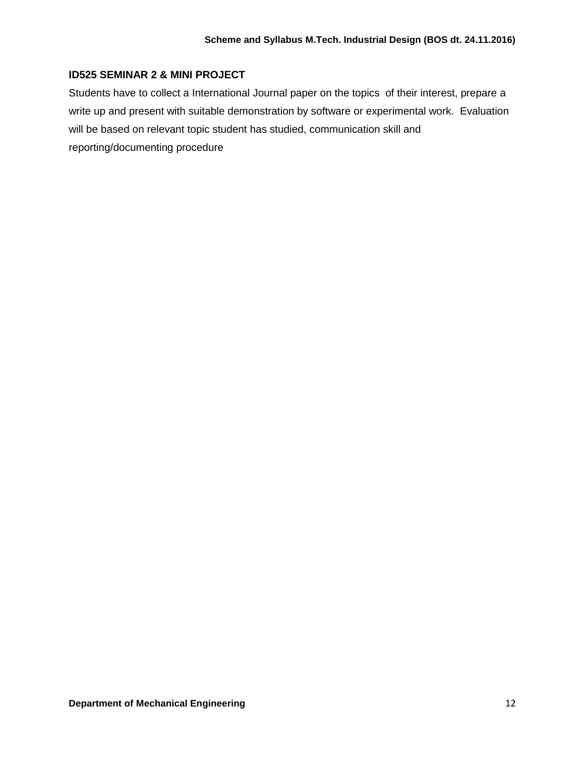# **ID525 SEMINAR 2 & MINI PROJECT**

Students have to collect a International Journal paper on the topics of their interest, prepare a write up and present with suitable demonstration by software or experimental work. Evaluation will be based on relevant topic student has studied, communication skill and reporting/documenting procedure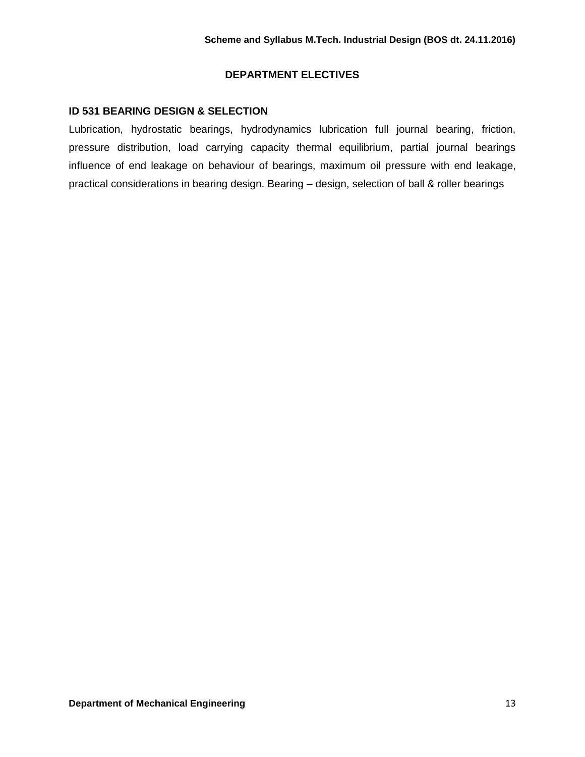## **DEPARTMENT ELECTIVES**

# **ID 531 BEARING DESIGN & SELECTION**

Lubrication, hydrostatic bearings, hydrodynamics lubrication full journal bearing, friction, pressure distribution, load carrying capacity thermal equilibrium, partial journal bearings influence of end leakage on behaviour of bearings, maximum oil pressure with end leakage, practical considerations in bearing design. Bearing – design, selection of ball & roller bearings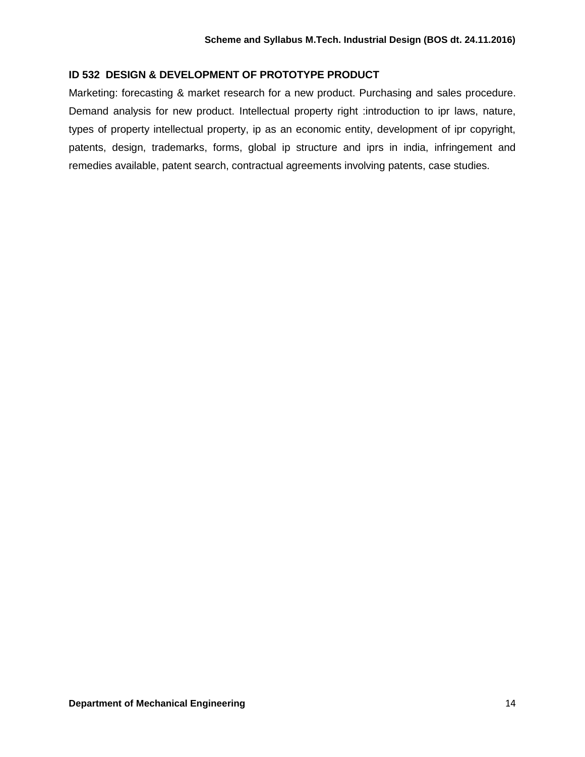# **ID 532 DESIGN & DEVELOPMENT OF PROTOTYPE PRODUCT**

Marketing: forecasting & market research for a new product. Purchasing and sales procedure. Demand analysis for new product. Intellectual property right :introduction to ipr laws, nature, types of property intellectual property, ip as an economic entity, development of ipr copyright, patents, design, trademarks, forms, global ip structure and iprs in india, infringement and remedies available, patent search, contractual agreements involving patents, case studies.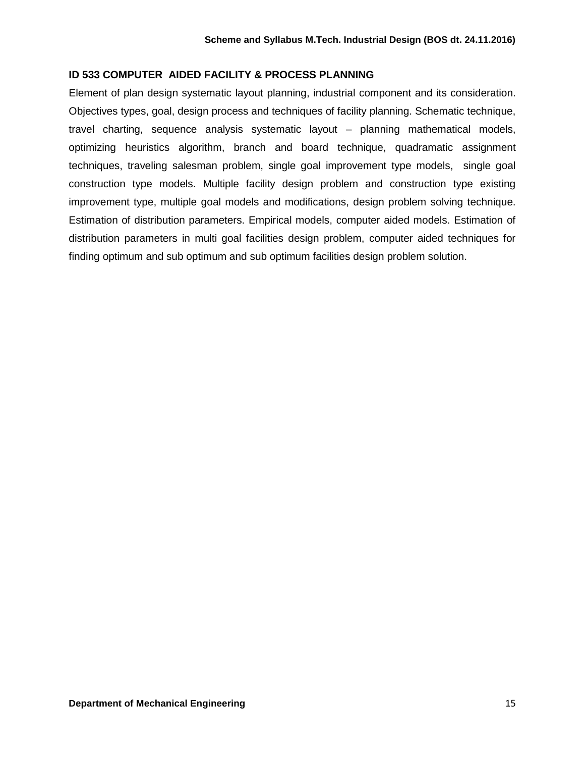## **ID 533 COMPUTER AIDED FACILITY & PROCESS PLANNING**

Element of plan design systematic layout planning, industrial component and its consideration. Objectives types, goal, design process and techniques of facility planning. Schematic technique, travel charting, sequence analysis systematic layout – planning mathematical models, optimizing heuristics algorithm, branch and board technique, quadramatic assignment techniques, traveling salesman problem, single goal improvement type models, single goal construction type models. Multiple facility design problem and construction type existing improvement type, multiple goal models and modifications, design problem solving technique. Estimation of distribution parameters. Empirical models, computer aided models. Estimation of distribution parameters in multi goal facilities design problem, computer aided techniques for finding optimum and sub optimum and sub optimum facilities design problem solution.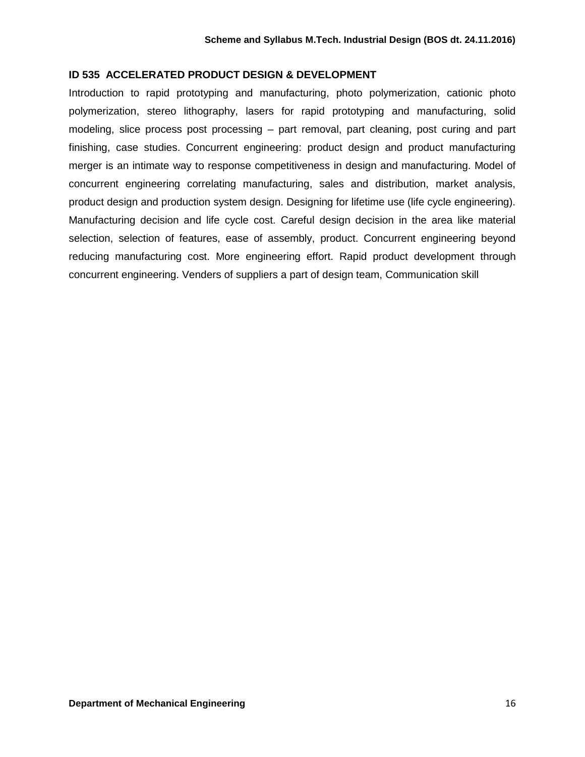## **ID 535 ACCELERATED PRODUCT DESIGN & DEVELOPMENT**

Introduction to rapid prototyping and manufacturing, photo polymerization, cationic photo polymerization, stereo lithography, lasers for rapid prototyping and manufacturing, solid modeling, slice process post processing – part removal, part cleaning, post curing and part finishing, case studies. Concurrent engineering: product design and product manufacturing merger is an intimate way to response competitiveness in design and manufacturing. Model of concurrent engineering correlating manufacturing, sales and distribution, market analysis, product design and production system design. Designing for lifetime use (life cycle engineering). Manufacturing decision and life cycle cost. Careful design decision in the area like material selection, selection of features, ease of assembly, product. Concurrent engineering beyond reducing manufacturing cost. More engineering effort. Rapid product development through concurrent engineering. Venders of suppliers a part of design team, Communication skill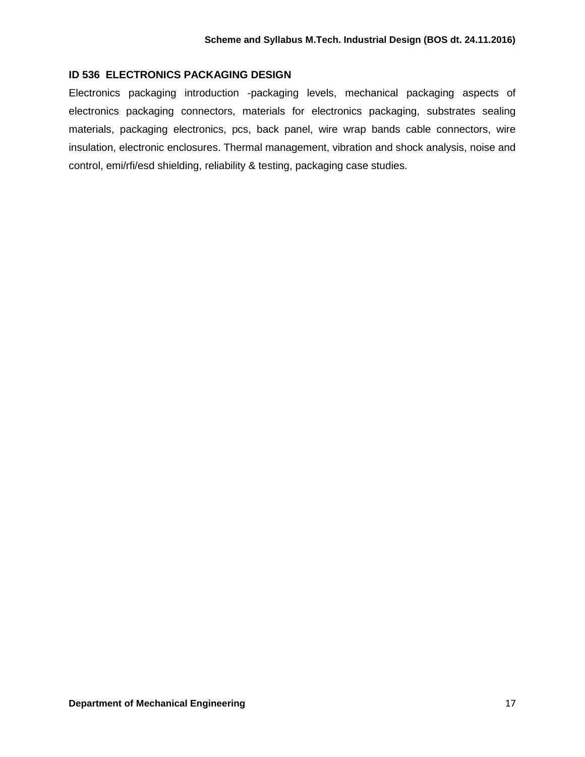## **ID 536 ELECTRONICS PACKAGING DESIGN**

Electronics packaging introduction -packaging levels, mechanical packaging aspects of electronics packaging connectors, materials for electronics packaging, substrates sealing materials, packaging electronics, pcs, back panel, wire wrap bands cable connectors, wire insulation, electronic enclosures. Thermal management, vibration and shock analysis, noise and control, emi/rfi/esd shielding, reliability & testing, packaging case studies.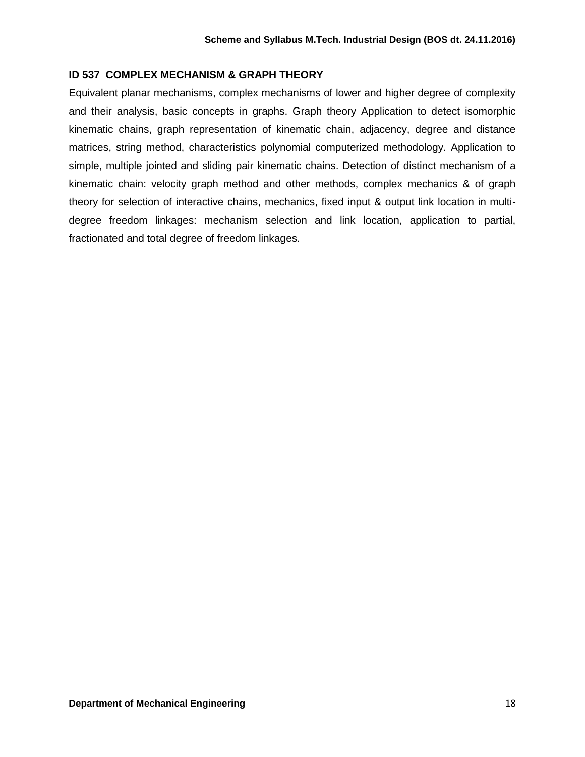## **ID 537 COMPLEX MECHANISM & GRAPH THEORY**

Equivalent planar mechanisms, complex mechanisms of lower and higher degree of complexity and their analysis, basic concepts in graphs. Graph theory Application to detect isomorphic kinematic chains, graph representation of kinematic chain, adjacency, degree and distance matrices, string method, characteristics polynomial computerized methodology. Application to simple, multiple jointed and sliding pair kinematic chains. Detection of distinct mechanism of a kinematic chain: velocity graph method and other methods, complex mechanics & of graph theory for selection of interactive chains, mechanics, fixed input & output link location in multidegree freedom linkages: mechanism selection and link location, application to partial, fractionated and total degree of freedom linkages.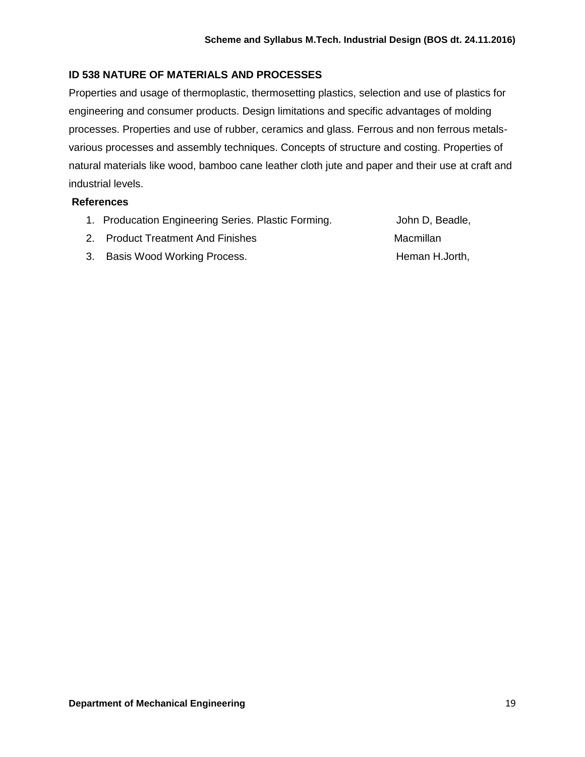# **ID 538 NATURE OF MATERIALS AND PROCESSES**

Properties and usage of thermoplastic, thermosetting plastics, selection and use of plastics for engineering and consumer products. Design limitations and specific advantages of molding processes. Properties and use of rubber, ceramics and glass. Ferrous and non ferrous metalsvarious processes and assembly techniques. Concepts of structure and costing. Properties of natural materials like wood, bamboo cane leather cloth jute and paper and their use at craft and industrial levels.

## **References**

1. Producation Engineering Series. Plastic Forming. **Fig. 1** John D, Beadle,

- 2. Product Treatment And Finishes Macmillan
- 3. Basis Wood Working Process. The manner of theman H.Jorth,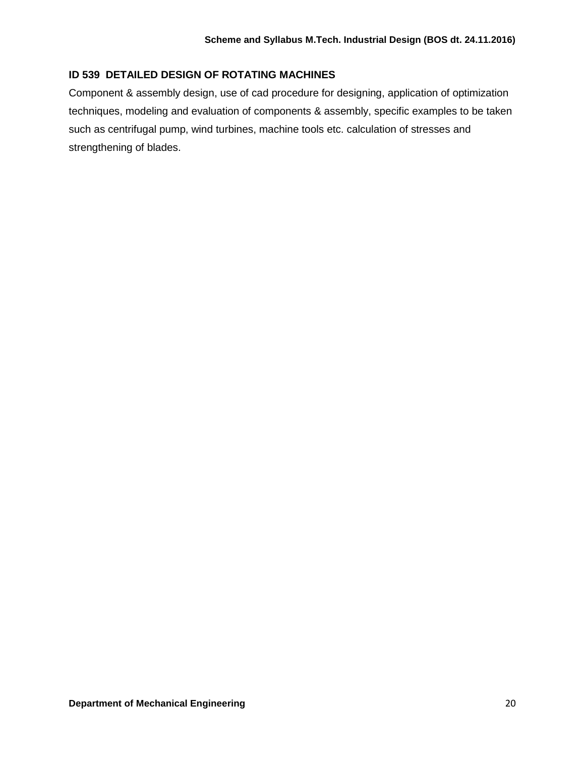# **ID 539 DETAILED DESIGN OF ROTATING MACHINES**

Component & assembly design, use of cad procedure for designing, application of optimization techniques, modeling and evaluation of components & assembly, specific examples to be taken such as centrifugal pump, wind turbines, machine tools etc. calculation of stresses and strengthening of blades.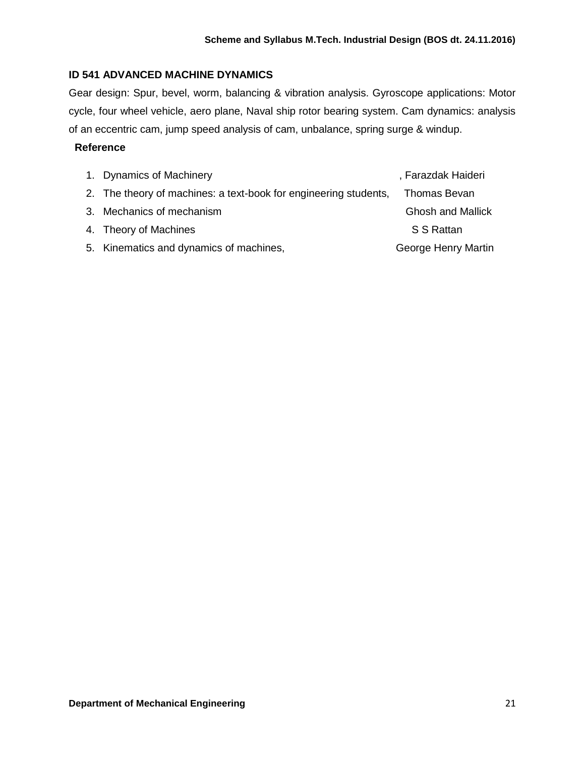# **ID 541 ADVANCED MACHINE DYNAMICS**

Gear design: Spur, bevel, worm, balancing & vibration analysis. Gyroscope applications: Motor cycle, four wheel vehicle, aero plane, Naval ship rotor bearing system. Cam dynamics: analysis of an eccentric cam, jump speed analysis of cam, unbalance, spring surge & windup.

## **Reference**

| 1. Dynamics of Machinery                                         | , Farazdak Haideri       |
|------------------------------------------------------------------|--------------------------|
| 2. The theory of machines: a text-book for engineering students, | Thomas Bevan             |
| 3. Mechanics of mechanism                                        | <b>Ghosh and Mallick</b> |
| 4. Theory of Machines                                            | S S Rattan               |
| 5. Kinematics and dynamics of machines,                          | George Henry Martin      |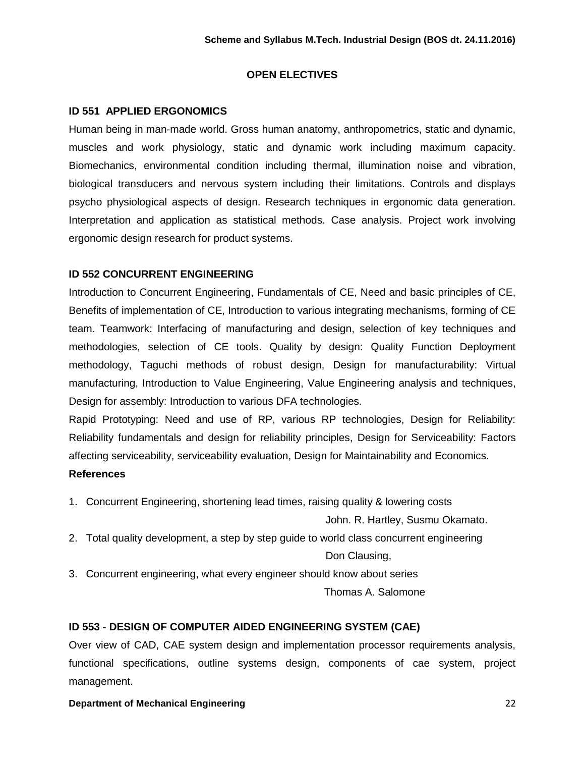# **OPEN ELECTIVES**

# **ID 551 APPLIED ERGONOMICS**

Human being in man-made world. Gross human anatomy, anthropometrics, static and dynamic, muscles and work physiology, static and dynamic work including maximum capacity. Biomechanics, environmental condition including thermal, illumination noise and vibration, biological transducers and nervous system including their limitations. Controls and displays psycho physiological aspects of design. Research techniques in ergonomic data generation. Interpretation and application as statistical methods. Case analysis. Project work involving ergonomic design research for product systems.

# **ID 552 CONCURRENT ENGINEERING**

Introduction to Concurrent Engineering, Fundamentals of CE, Need and basic principles of CE, Benefits of implementation of CE, Introduction to various integrating mechanisms, forming of CE team. Teamwork: Interfacing of manufacturing and design, selection of key techniques and methodologies, selection of CE tools. Quality by design: Quality Function Deployment methodology, Taguchi methods of robust design, Design for manufacturability: Virtual manufacturing, Introduction to Value Engineering, Value Engineering analysis and techniques, Design for assembly: Introduction to various DFA technologies.

Rapid Prototyping: Need and use of RP, various RP technologies, Design for Reliability: Reliability fundamentals and design for reliability principles, Design for Serviceability: Factors affecting serviceability, serviceability evaluation, Design for Maintainability and Economics. **References** 

1. Concurrent Engineering, shortening lead times, raising quality & lowering costs

John. R. Hartley, Susmu Okamato.

2. Total quality development, a step by step guide to world class concurrent engineering

Don Clausing,

3. Concurrent engineering, what every engineer should know about series

Thomas A. Salomone

# **ID 553 - DESIGN OF COMPUTER AIDED ENGINEERING SYSTEM (CAE)**

Over view of CAD, CAE system design and implementation processor requirements analysis, functional specifications, outline systems design, components of cae system, project management.

**Department of Mechanical Engineering** 22